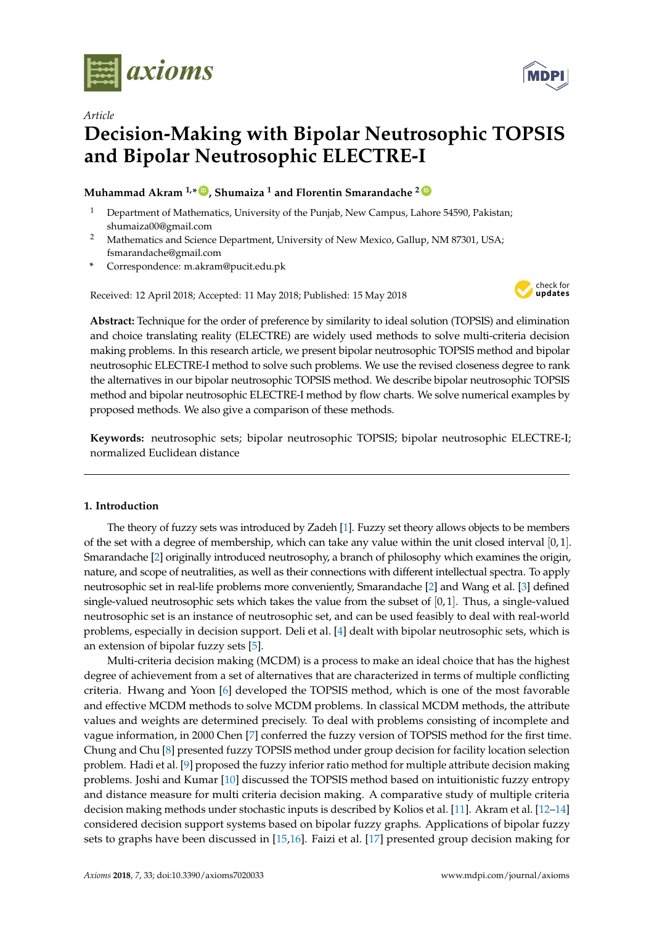

*Article*

# **Decision-Making with Bipolar Neutrosophic TOPSIS and Bipolar Neutrosophic ELECTRE-I**

# **Muhammad Akram 1,\* [ID](https://orcid.org/0000-0001-7217-7962) , Shumaiza <sup>1</sup> and Florentin Smarandache <sup>2</sup> [ID](https://orcid.org/0000-0002-5560-5926)**

- <sup>1</sup> Department of Mathematics, University of the Punjab, New Campus, Lahore 54590, Pakistan; shumaiza00@gmail.com
- <sup>2</sup> Mathematics and Science Department, University of New Mexico, Gallup, NM 87301, USA; fsmarandache@gmail.com
- **\*** Correspondence: m.akram@pucit.edu.pk

Received: 12 April 2018; Accepted: 11 May 2018; Published: 15 May 2018



**Abstract:** Technique for the order of preference by similarity to ideal solution (TOPSIS) and elimination and choice translating reality (ELECTRE) are widely used methods to solve multi-criteria decision making problems. In this research article, we present bipolar neutrosophic TOPSIS method and bipolar neutrosophic ELECTRE-I method to solve such problems. We use the revised closeness degree to rank the alternatives in our bipolar neutrosophic TOPSIS method. We describe bipolar neutrosophic TOPSIS method and bipolar neutrosophic ELECTRE-I method by flow charts. We solve numerical examples by proposed methods. We also give a comparison of these methods.

**Keywords:** neutrosophic sets; bipolar neutrosophic TOPSIS; bipolar neutrosophic ELECTRE-I; normalized Euclidean distance

## **1. Introduction**

The theory of fuzzy sets was introduced by Zadeh [\[1\]](#page-15-0). Fuzzy set theory allows objects to be members of the set with a degree of membership, which can take any value within the unit closed interval  $[0, 1]$ . Smarandache [\[2\]](#page-15-1) originally introduced neutrosophy, a branch of philosophy which examines the origin, nature, and scope of neutralities, as well as their connections with different intellectual spectra. To apply neutrosophic set in real-life problems more conveniently, Smarandache [\[2\]](#page-15-1) and Wang et al. [\[3\]](#page-15-2) defined single-valued neutrosophic sets which takes the value from the subset of  $[0, 1]$ . Thus, a single-valued neutrosophic set is an instance of neutrosophic set, and can be used feasibly to deal with real-world problems, especially in decision support. Deli et al. [\[4\]](#page-15-3) dealt with bipolar neutrosophic sets, which is an extension of bipolar fuzzy sets [\[5\]](#page-15-4).

Multi-criteria decision making (MCDM) is a process to make an ideal choice that has the highest degree of achievement from a set of alternatives that are characterized in terms of multiple conflicting criteria. Hwang and Yoon [\[6\]](#page-15-5) developed the TOPSIS method, which is one of the most favorable and effective MCDM methods to solve MCDM problems. In classical MCDM methods, the attribute values and weights are determined precisely. To deal with problems consisting of incomplete and vague information, in 2000 Chen [\[7\]](#page-15-6) conferred the fuzzy version of TOPSIS method for the first time. Chung and Chu [\[8\]](#page-15-7) presented fuzzy TOPSIS method under group decision for facility location selection problem. Hadi et al. [\[9\]](#page-15-8) proposed the fuzzy inferior ratio method for multiple attribute decision making problems. Joshi and Kumar [\[10\]](#page-15-9) discussed the TOPSIS method based on intuitionistic fuzzy entropy and distance measure for multi criteria decision making. A comparative study of multiple criteria decision making methods under stochastic inputs is described by Kolios et al. [\[11\]](#page-15-10). Akram et al. [\[12–](#page-15-11)[14\]](#page-15-12) considered decision support systems based on bipolar fuzzy graphs. Applications of bipolar fuzzy sets to graphs have been discussed in [\[15](#page-15-13)[,16\]](#page-15-14). Faizi et al. [\[17\]](#page-15-15) presented group decision making for

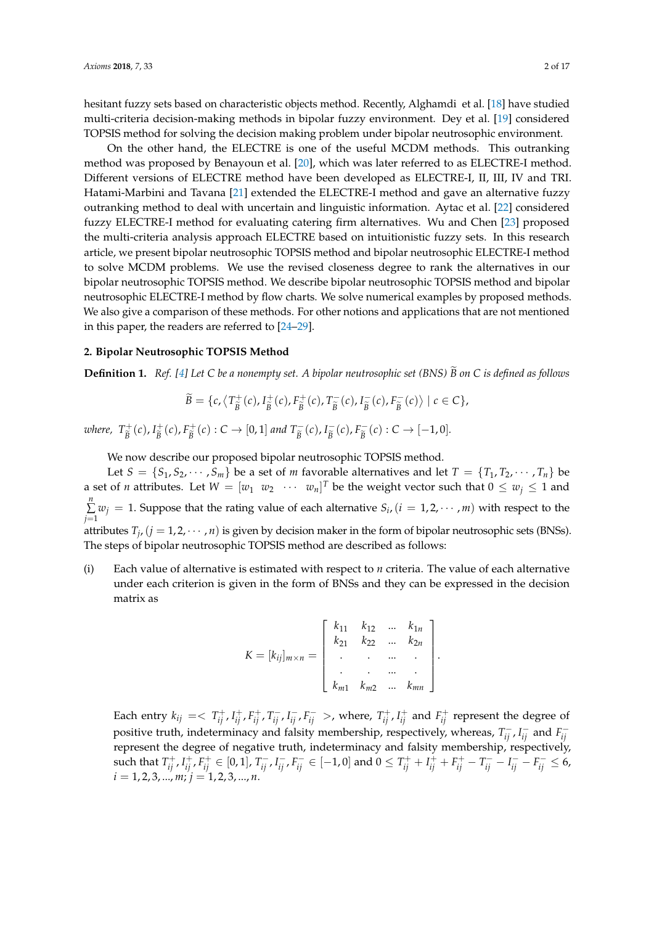hesitant fuzzy sets based on characteristic objects method. Recently, Alghamdi et al. [\[18\]](#page-15-16) have studied multi-criteria decision-making methods in bipolar fuzzy environment. Dey et al. [\[19\]](#page-15-17) considered TOPSIS method for solving the decision making problem under bipolar neutrosophic environment.

On the other hand, the ELECTRE is one of the useful MCDM methods. This outranking method was proposed by Benayoun et al. [\[20\]](#page-15-18), which was later referred to as ELECTRE-I method. Different versions of ELECTRE method have been developed as ELECTRE-I, II, III, IV and TRI. Hatami-Marbini and Tavana [\[21\]](#page-15-19) extended the ELECTRE-I method and gave an alternative fuzzy outranking method to deal with uncertain and linguistic information. Aytac et al. [\[22\]](#page-15-20) considered fuzzy ELECTRE-I method for evaluating catering firm alternatives. Wu and Chen [\[23\]](#page-15-21) proposed the multi-criteria analysis approach ELECTRE based on intuitionistic fuzzy sets. In this research article, we present bipolar neutrosophic TOPSIS method and bipolar neutrosophic ELECTRE-I method to solve MCDM problems. We use the revised closeness degree to rank the alternatives in our bipolar neutrosophic TOPSIS method. We describe bipolar neutrosophic TOPSIS method and bipolar neutrosophic ELECTRE-I method by flow charts. We solve numerical examples by proposed methods. We also give a comparison of these methods. For other notions and applications that are not mentioned in this paper, the readers are referred to [\[24–](#page-15-22)[29\]](#page-16-0).

#### **2. Bipolar Neutrosophic TOPSIS Method**

**Definition 1.** *Ref.* [\[4\]](#page-15-3) Let C be a nonempty set. A bipolar neutrosophic set (BNS)  $\widetilde{B}$  on C is defined as follows

$$
\widetilde{B} = \{c, \left\langle T_{\widetilde{B}}^{+}(c), I_{\widetilde{B}}^{+}(c), F_{\widetilde{B}}^{+}(c), T_{\widetilde{B}}^{-}(c), I_{\widetilde{B}}^{-}(c), F_{\widetilde{B}}^{-}(c) \right\rangle \mid c \in C\},\
$$

*where,*  $T_{\widetilde{p}}^+$  $\frac{D^+}{\widetilde{B}}(c)$ ,  $I_{\widetilde{B}}^+$  $\frac{1}{\widetilde{B}}(c)$ ,  $F_{\widetilde{B}}^{+}$  $B_{\widetilde{B}}^{+}(c): C \to [0,1]$  *and*  $T_{\widetilde{B}}^{-}(c)$ ,  $I_{\widetilde{B}}^{-}$  $\overline{\widetilde{B}}^-(c)$ ,  $F_{\widetilde{B}}^ \frac{C}{\widetilde{B}}(c) : C \to [-1,0].$ 

We now describe our proposed bipolar neutrosophic TOPSIS method.

Let  $S = \{S_1, S_2, \dots, S_m\}$  be a set of *m* favorable alternatives and let  $T = \{T_1, T_2, \dots, T_n\}$  be a set of *n* attributes. Let  $W = [w_1 \ w_2 \ \cdots \ w_n]^T$  be the weight vector such that  $0 \le w_j \le 1$  and *n* ∑  $\sum_{j=1}^{n} w_j = 1$ . Suppose that the rating value of each alternative  $S_i$ ,  $(i = 1, 2, \dots, m)$  with respect to the attributes  $T_j$ ,  $(j = 1, 2, \dots, n)$  is given by decision maker in the form of bipolar neutrosophic sets (BNSs). The steps of bipolar neutrosophic TOPSIS method are described as follows:

(i) Each value of alternative is estimated with respect to *n* criteria. The value of each alternative under each criterion is given in the form of BNSs and they can be expressed in the decision matrix as

$$
K = [k_{ij}]_{m \times n} = \begin{bmatrix} k_{11} & k_{12} & \dots & k_{1n} \\ k_{21} & k_{22} & \dots & k_{2n} \\ \vdots & \vdots & \ddots & \vdots \\ k_{m1} & k_{m2} & \dots & k_{mn} \end{bmatrix}.
$$

Each entry  $k_{ij} = \langle T^+_{ij}, I^+_{ij}, F^+_{ij}, T^-_{ij}, I^-_{ij}, F^-_{ij} \rangle$ , where,  $T^+_{ij}, I^+_{ij}$  and  $F^+_{ij}$  represent the degree of positive truth, indeterminacy and falsity membership, respectively, whereas,  $T_{ij}^-$ ,  $I_{ij}^-$  and  $F_{ij}^$ *ij* represent the degree of negative truth, indeterminacy and falsity membership, respectively, such that  $T^+_{ij}$ ,  $I^+_{ij}$ ,  $F^+_{ij}$   $\in$  [0, 1],  $T^-_{ij}$ ,  $I^-_{ij}$ ,  $F^-_{ij}$   $\in$  [-1, 0] and  $0 \le T^+_{ij} + I^+_{ij} + F^+_{ij} - T^-_{ij} - I^-_{ij} - F^-_{ij} \le 6$ ,  $i = 1, 2, 3, \dots, m; j = 1, 2, 3, \dots, n.$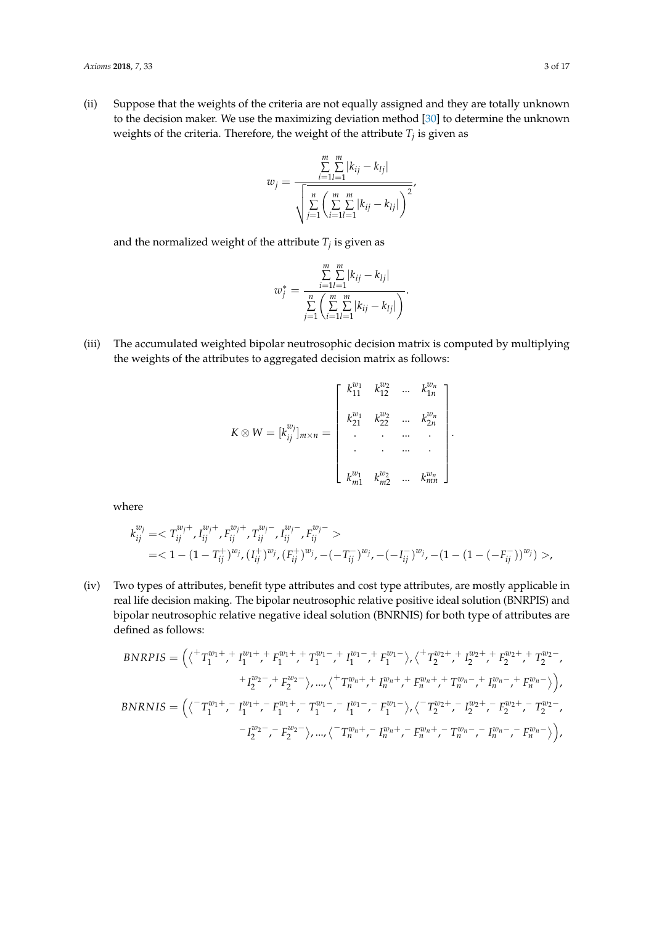(ii) Suppose that the weights of the criteria are not equally assigned and they are totally unknown to the decision maker. We use the maximizing deviation method [\[30\]](#page-16-1) to determine the unknown weights of the criteria. Therefore, the weight of the attribute *T<sup>j</sup>* is given as

$$
w_j = \frac{\sum_{i=1}^{m} \sum_{l=1}^{m} |k_{ij} - k_{lj}|}{\sqrt{\sum_{j=1}^{n} \left(\sum_{i=1}^{m} \sum_{l=1}^{m} |k_{ij} - k_{lj}| \right)^2}}
$$

and the normalized weight of the attribute  $T_j$  is given as

$$
w_j^* = \frac{\sum_{i=1}^m \sum_{l=1}^m |k_{ij} - k_{lj}|}{\sum_{j=1}^n \left( \sum_{i=1}^m \sum_{l=1}^m |k_{ij} - k_{lj}| \right)}.
$$

(iii) The accumulated weighted bipolar neutrosophic decision matrix is computed by multiplying the weights of the attributes to aggregated decision matrix as follows:

$$
K \otimes W = [k_{ij}^{w_j}]_{m \times n} = \begin{bmatrix} k_{11}^{w_1} & k_{12}^{w_2} & \dots & k_{1n}^{w_n} \\ k_{21}^{w_1} & k_{22}^{w_2} & \dots & k_{2n}^{w_n} \\ \vdots & \vdots & \ddots & \vdots \\ k_{m1}^{w_1} & k_{m2}^{w_2} & \dots & k_{mn}^{w_n} \end{bmatrix}.
$$

where

$$
k_{ij}^{w_j} = \langle T_{ij}^{w_j+}, I_{ij}^{w_j+}, F_{ij}^{w_j+}, T_{ij}^{w_j-}, I_{ij}^{w_j-}, F_{ij}^{w_j-} \rangle
$$
  
=  $(1 - (1 - T_{ij}^+)^{w_j}, (I_{ij}^+)^{w_j}, (F_{ij}^+)^{w_j}, -(-T_{ij}^-)^{w_j}, -(-I_{ij}^-)^{w_j}, -(1 - (1 - (-F_{ij}^-))^{w_j}) \rangle$ 

(iv) Two types of attributes, benefit type attributes and cost type attributes, are mostly applicable in real life decision making. The bipolar neutrosophic relative positive ideal solution (BNRPIS) and bipolar neutrosophic relative negative ideal solution (BNRNIS) for both type of attributes are defined as follows:

$$
BNRPIS = \left( \langle \n\begin{array}{c} \n\langle \n\begin{array}{c} \n\langle \n\begin{array}{c} \n\langle \n\begin{array}{c} \n\langle \n\begin{array}{c} \n\langle \n\end{array}^n \n\langle \n\begin{array}{c} \n\langle \n\end{array}^n \n\langle \n\begin{array}{c} \n\langle \n\end{array}^n \n\langle \n\begin{array}{c} \n\langle \n\end{array}^n \n\langle \n\begin{array}{c} \n\langle \n\end{array}^n \n\langle \n\begin{array}{c} \n\langle \n\end{array}^n \n\langle \n\begin{array}{c} \n\langle \n\end{array}^n \n\langle \n\begin{array}{c} \n\langle \n\end{array}^n \n\langle \n\begin{array}{c} \n\langle \n\end{array}^n \n\langle \n\begin{array}{c} \n\langle \n\end{array}^n \n\langle \n\begin{array}{c} \n\langle \n\end{array}^n \n\langle \n\begin{array}{c} \n\langle \n\end{array}^n \n\langle \n\begin{array}{c} \n\langle \n\end{array}^n \n\langle \n\begin{array}{c} \n\langle \n\end{array}^n \n\langle \n\begin{array}{c} \n\langle \n\end{array}^n \n\langle \n\begin{array}{c} \n\langle \n\end{array}^n \n\langle \n\end{array}^n \n\langle \n\begin{array}{c} \n\langle \n\end{array}^n \n\langle \n\begin{array}{c} \n\langle \n\end{array}^n \n\langle \n\begin{array}{c} \n\langle \n\end{array}^n \n\langle \n\begin{array}{c} \n\langle \n\end{array}^n \n\langle \n\begin{array}{c} \n\langle \n\langle \n\end{array}^n \n\langle \n\begin{array}{c} \n\langle \n\end{array}^n \n\langle \n\end{array}^n \n\langle \n\begin{array}{c} \n\langle \n\end{array}^n \n\langle \n\begin{array}{c} \n\langle \n\end{array}^n \n\langle \n\begin{array}{c} \n\langle \n\end{array}^n \n\langle \n\begin{array}{c} \n\langle \n\end
$$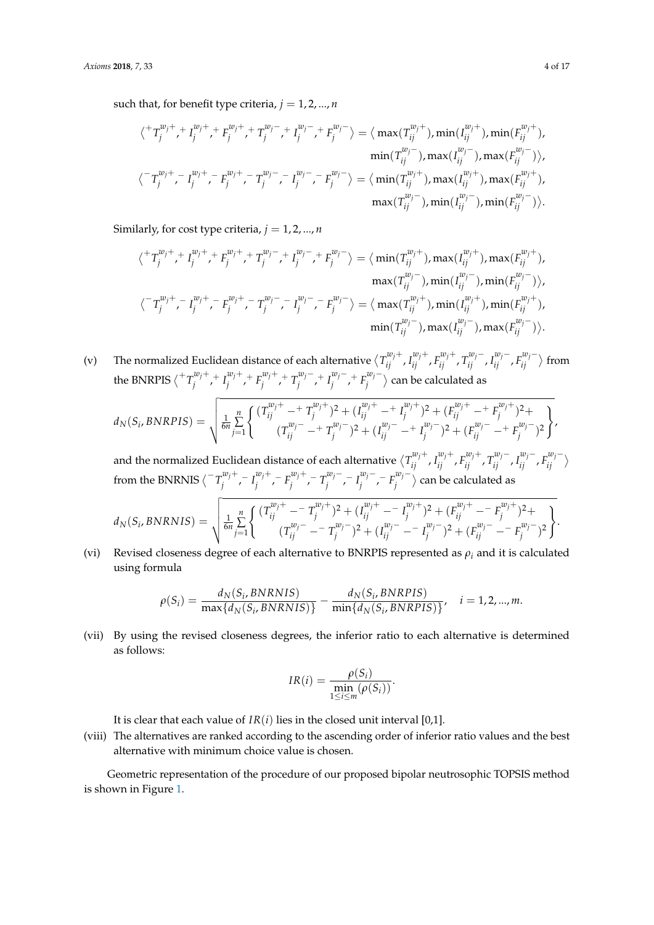such that, for benefit type criteria,  $j = 1, 2, ..., n$ 

$$
\langle \nabla T_j^{w_j+},\nabla_j^{w_j+},\nabla_j^{w_j+},\nabla_j^{w_j-},\nabla_j^{w_j-},\nabla_j^{w_j-}\rangle = \langle \max(T_{ij}^{w_j+}),\min(T_{ij}^{w_j+}),\min(F_{ij}^{w_j+}),\n\\ \min(T_{ij}^{w_j-}),\max(T_{ij}^{w_j-}),\max(T_{ij}^{w_j-}),\max(T_{ij}^{w_j-}),\n\\ \langle \nabla T_j^{w_j+},\nabla_j^{w_j+},\nabla_j^{w_j+},\nabla_j^{w_j-},\nabla_j^{w_j-},\nabla_j^{w_j-},\nabla_j^{w_j-}\rangle = \langle \min(T_{ij}^{w_j+}),\max(T_{ij}^{w_j+}),\max(T_{ij}^{w_j+}),\n\\ \max(T_{ij}^{w_j-}),\min(T_{ij}^{w_j-}),\min(T_{ij}^{w_j-}),\n\end{aligned}
$$

Similarly, for cost type criteria,  $j = 1, 2, ..., n$ 

$$
\langle^{+}T_{j}^{w_{j}+},T_{j}^{w_{j}+},F_{j}^{w_{j}+},T_{j}^{w_{j}-},T_{j}^{w_{j}-},F_{j}^{w_{j}-}\rangle=\langle \min(T_{ij}^{w_{j}+}),\max(T_{ij}^{w_{j}+}),\max(F_{ij}^{w_{j}+}),\max(T_{ij}^{w_{j}-}),\max(T_{ij}^{w_{j}-}),\min(T_{ij}^{w_{j}-}),\min(T_{ij}^{w_{j}-}),\min(T_{ij}^{w_{j}-}),\min(T_{ij}^{w_{j}+},F_{j}^{w_{j}+},F_{j}^{w_{j}+},T_{j}^{w_{j}-},T_{j}^{w_{j}-},F_{j}^{w_{j}-},F_{j}^{w_{j}-}),\max(T_{ij}^{w_{j}-}),\max(T_{ij}^{w_{j}-}),\max(T_{ij}^{w_{j}-}),\max(T_{ij}^{w_{j}-}),\max(T_{ij}^{w_{j}-}),\max(T_{ij}^{w_{j}-}),\max(T_{ij}^{w_{j}-}),\max(T_{ij}^{w_{j}-}),\max(T_{ij}^{w_{j}-}),\max(T_{ij}^{w_{j}-},F_{j}^{w_{j}-},F_{j}^{w_{j}-},F_{j}^{w_{j}-},F_{j}^{w_{j}-},F_{j}^{w_{j}-},F_{j}^{w_{j}-},F_{j}^{w_{j}-},F_{j}^{w_{j}-},F_{j}^{w_{j}-},F_{j}^{w_{j}-},F_{j}^{w_{j}-},F_{j}^{w_{j}-},F_{j}^{w_{j}-},F_{j}^{w_{j}-},F_{j}^{w_{j}-},F_{j}^{w_{j}-},F_{j}^{w_{j}-},F_{j}^{w_{j}-},F_{j}^{w_{j}-},F_{j}^{w_{j}-},F_{j}^{w_{j}-},F_{j}^{w_{j}-},F_{j}^{w_{j}-},F_{j}^{w_{j}-},F_{j}^{w_{j}-},F_{j}^{w_{j}-},F_{j}^{w_{j}-},F_{j}^{w_{j}-},F_{j}^{w_{j}-},F_{j}^{w_{j}-},F_{j}^{w_{j}-},F_{j}^{w_{j}-},F_{j}^{w_{j}-},F_{j}^{w_{j}-},F_{j}^{w_{j}-},F_{j}^{w_{j}-},F_{j}^{w_{j}-},F_{j}^{w_{j}-},F_{j}^{w_{j}-},F_{j}^{
$$

(v) The normalized Euclidean distance of each alternative  $\langle T_{ij}^{w_j+}, I_{ij}^{w_j+}, F_{ij}^{w_j+}, T_{ij}^{w_j-}, I_{ij}^{w_j-}, F_{ij}^{w_j-} \rangle$  $\begin{pmatrix} w_j \\ i j \end{pmatrix}$  from the BNRPIS  $\langle \overline{^+T}^{\text{w}_j+}_{i} \rangle$  $I_j^{w_j+}$ , +  $I_j^{w_j+}$  $E_j^{w_j+}$ , +  $F_j^{w_j+}$ *zw*<sub>*j*</sub><sup>+</sup> *+ T*<sub>*j*</sub><sup>*w*</sup><sub>*j*</sub><sup>−</sup> *zw*<sub>*j*</sub>−</sup> *+ I*<sup>*w*</sup><sub>*j*</sub><sup>−</sup>  $\frac{w_j}{j}$  +  $F_j^{w_j-}$  $\langle \hat{r}_j^{\omega_j-} \rangle$  can be calculated as

$$
d_N(S_i, BNRPIS) = \sqrt{\frac{1}{6n} \sum_{j=1}^n \left\{ \frac{(T_{ij}^{w_j+} - T_j^{w_j+})^2 + (I_{ij}^{w_j+} - T_j^{w_j+})^2 + (F_{ij}^{w_j+} - F_j^{w_j+})^2 +}{(T_{ij}^{w_j-} - T_j^{w_j-})^2 + (I_{ij}^{w_j-} - T_j^{w_j-})^2 + (F_{ij}^{w_j-} - T_j^{w_j-})^2 + (F_{ij}^{w_j-} - T_j^{w_j-})^2 \right\}}.
$$

and the normalized Euclidean distance of each alternative  $\langle T_{ij}^{w_j+},I_{ij}^{w_j+},F_{ij}^{w_j+},T_{ij}^{w_j-},I_{ij}^{w_j-},F_{ij}^{w_j-} \rangle$  $\begin{matrix} \alpha_{j} \\ i j \end{matrix}$ from the BNRNIS  $\langle T_i^{w_j+1} \rangle$  $I_j^{w_j+} - I_j^{w_j+}$  $\int_j^{w_j+}$ ,  $F_j^{w_j+}$ *zw*<sub>*j*</sub> + − *T*<sub>*j*</sub><sup>*w*</sup><sub>*j*</sub>− *j* , − *I wj*− *zw*<sub>*j*</sub>− *F*<sub>*f*</sub><sup>*w*</sup><sub>*j*</sub>−  $\langle \hat{r}_j^{\omega_j-} \rangle$  can be calculated as

$$
d_N(S_i, BNRNIS) = \sqrt{\frac{1}{6n} \sum_{j=1}^n \left\{ \frac{(T_{ij}^{w_j+} - T_j^{w_j+})^2 + (I_{ij}^{w_j+} - I_j^{w_j+})^2 + (F_{ij}^{w_j+} - F_j^{w_j+})^2 +}{(T_{ij}^{w_j-} - T_j^{w_j-})^2 + (I_{ij}^{w_j-} - I_j^{w_j-})^2 + (F_{ij}^{w_j-} - F_j^{w_j-})^2 \right\}}.
$$

(vi) Revised closeness degree of each alternative to BNRPIS represented as *ρ<sup>i</sup>* and it is calculated using formula

$$
\rho(S_i) = \frac{d_N(S_i, BNRNIS)}{\max\{d_N(S_i, BNRNIS)\}} - \frac{d_N(S_i, BNRPIS)}{\min\{d_N(S_i, BNRPIS)\}}, \quad i = 1, 2, ..., m.
$$

(vii) By using the revised closeness degrees, the inferior ratio to each alternative is determined as follows:

$$
IR(i) = \frac{\rho(S_i)}{\min_{1 \leq i \leq m} (\rho(S_i))}.
$$

It is clear that each value of  $IR(i)$  lies in the closed unit interval [0,1].

(viii) The alternatives are ranked according to the ascending order of inferior ratio values and the best alternative with minimum choice value is chosen.

Geometric representation of the procedure of our proposed bipolar neutrosophic TOPSIS method is shown in Figure [1.](#page-4-0)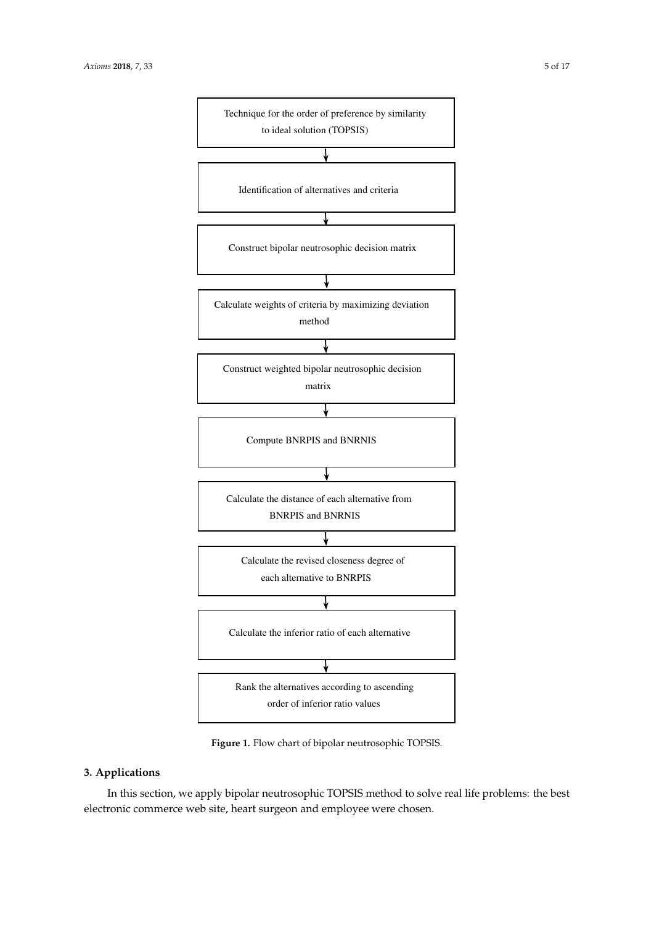<span id="page-4-0"></span>

Figure 1. Flow chart of bipolar neutrosophic TOPSIS.

## <span id="page-4-1"></span>**3. Applications**

In this section, we apply bipolar neutrosophic TOPSIS method to solve real life problems: the best matrix as given in Table 2: electronic commerce web site, heart surgeon and employee were chosen.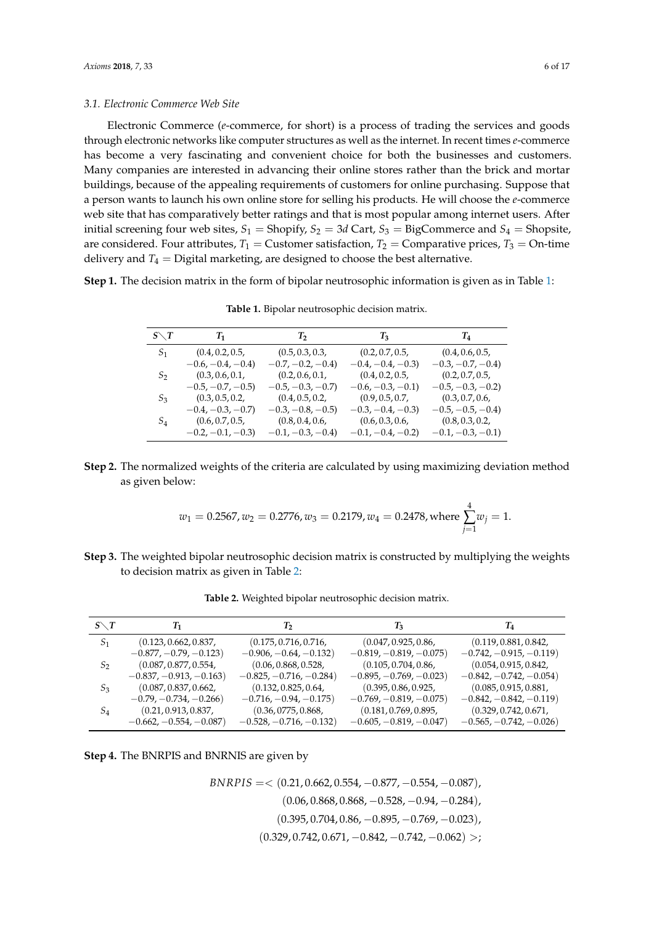<span id="page-5-2"></span>Electronic Commerce (*e*-commerce, for short) is a process of trading the services and goods through electronic networks like computer structures as well as the internet. In recent times *e*-commerce has become a very fascinating and convenient choice for both the businesses and customers. Many companies are interested in advancing their online stores rather than the brick and mortar buildings, because of the appealing requirements of customers for online purchasing. Suppose that a person wants to launch his own online store for selling his products. He will choose the *e*-commerce web site that has comparatively better ratings and that is most popular among internet users. After initial screening four web sites,  $S_1$  = Shopify,  $S_2$  = 3*d* Cart,  $S_3$  = BigCommerce and  $S_4$  = Shopsite, are considered. Four attributes,  $T_1$  = Customer satisfaction,  $T_2$  = Comparative prices,  $T_3$  = On-time delivery and  $T_4$  = Digital marketing, are designed to choose the best alternative.

<span id="page-5-0"></span>**Step 1.** The decision matrix in the form of bipolar neutrosophic information is given as in Table [1:](#page-5-0)

| $S\diagdown T$ | $T_1$               | $T_2$              | $T_3$              | $T_4$              |
|----------------|---------------------|--------------------|--------------------|--------------------|
| S <sub>1</sub> | (0.4, 0.2, 0.5,     | (0.5, 0.3, 0.3,    | (0.2, 0.7, 0.5,    | (0.4, 0.6, 0.5,    |
|                | $-0.6, -0.4, -0.4)$ | $-0.7, -0.2, -0.4$ | $-0.4, -0.4, -0.3$ | $-0.3, -0.7, -0.4$ |
| $S_2$          | (0.3, 0.6, 0.1,     | (0.2, 0.6, 0.1,    | (0.4, 0.2, 0.5,    | (0.2, 0.7, 0.5,    |
|                | $-0.5, -0.7, -0.5)$ | $-0.5, -0.3, -0.7$ | $-0.6, -0.3, -0.1$ | $-0.5, -0.3, -0.2$ |
| $S_3$          | (0.3, 0.5, 0.2,     | (0.4, 0.5, 0.2,    | (0.9, 0.5, 0.7,    | (0.3, 0.7, 0.6,    |
|                | $-0.4, -0.3, -0.7$  | $-0.3, -0.8, -0.5$ | $-0.3, -0.4, -0.3$ | $-0.5, -0.5, -0.4$ |
| $S_4$          | (0.6, 0.7, 0.5,     | (0.8, 0.4, 0.6,    | (0.6, 0.3, 0.6,    | (0.8, 0.3, 0.2,    |
|                | $-0.2, -0.1, -0.3$  | $-0.1, -0.3, -0.4$ | $-0.1, -0.4, -0.2$ | $-0.1, -0.3, -0.1$ |

**Table 1.** Bipolar neutrosophic decision matrix.

**Step 2.** The normalized weights of the criteria are calculated by using maximizing deviation method as given below:

$$
w_1 = 0.2567, w_2 = 0.2776, w_3 = 0.2179, w_4 = 0.2478
$$
, where  $\sum_{j=1}^{4} w_j = 1$ .

<span id="page-5-1"></span>**Step 3.** The weighted bipolar neutrosophic decision matrix is constructed by multiplying the weights to decision matrix as given in Table [2:](#page-5-1)

| $S\diagdown T$ | T1                        | T2                        | T3                        | $\scriptstyle T_4$        |
|----------------|---------------------------|---------------------------|---------------------------|---------------------------|
| S <sub>1</sub> | (0.123, 0.662, 0.837,     | (0.175, 0.716, 0.716,     | (0.047, 0.925, 0.86,      | (0.119, 0.881, 0.842,     |
|                | $-0.877, -0.79, -0.123)$  | $-0.906, -0.64, -0.132)$  | $-0.819, -0.819, -0.075)$ | $-0.742, -0.915, -0.119$  |
| S <sub>2</sub> | (0.087, 0.877, 0.554,     | (0.06, 0.868, 0.528,      | (0.105, 0.704, 0.86,      | (0.054, 0.915, 0.842,     |
|                | $-0.837, -0.913, -0.163$  | $-0.825, -0.716, -0.284)$ | $-0.895, -0.769, -0.023$  | $-0.842, -0.742, -0.054)$ |
| $S_3$          | (0.087, 0.837, 0.662,     | (0.132, 0.825, 0.64,      | (0.395, 0.86, 0.925,      | (0.085, 0.915, 0.881,     |
|                | $-0.79, -0.734, -0.266$   | $-0.716, -0.94, -0.175)$  | $-0.769, -0.819, -0.075)$ | $-0.842, -0.842, -0.119$  |
| $S_4$          | (0.21, 0.913, 0.837,      | (0.36, 0775, 0.868,       | (0.181, 0.769, 0.895,     | (0.329, 0.742, 0.671,     |
|                | $-0.662, -0.554, -0.087)$ | $-0.528, -0.716, -0.132)$ | $-0.605, -0.819, -0.047$  | $-0.565, -0.742, -0.026$  |

**Table 2.** Weighted bipolar neutrosophic decision matrix.

**Step 4.** The BNRPIS and BNRNIS are given by

*BNRPIS* = < (0.21, 0.662, 0.554, −0.877, −0.554, −0.087),  $(0.06, 0.868, 0.868, -0.528, -0.94, -0.284)$  $(0.395, 0.704, 0.86, -0.895, -0.769, -0.023)$  $(0.329, 0.742, 0.671, -0.842, -0.742, -0.062) >;$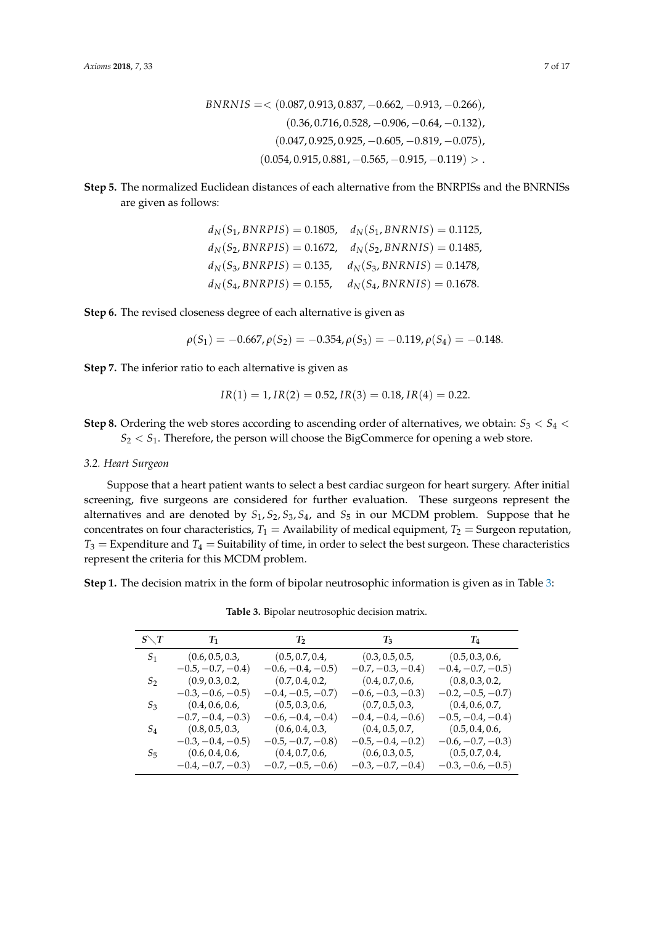$$
BNRNIS = \langle (0.087, 0.913, 0.837, -0.662, -0.913, -0.266), (0.36, 0.716, 0.528, -0.906, -0.64, -0.132), (0.047, 0.925, 0.925, -0.605, -0.819, -0.075), (0.054, 0.915, 0.881, -0.565, -0.915, -0.119) > .
$$

**Step 5.** The normalized Euclidean distances of each alternative from the BNRPISs and the BNRNISs are given as follows:

|                             | $d_N(S_1, BNRPIS) = 0.1805, \quad d_N(S_1, BNRNIS) = 0.1125,$ |
|-----------------------------|---------------------------------------------------------------|
|                             | $d_N(S_2, BNRPIS) = 0.1672, d_N(S_2, BNRNIS) = 0.1485,$       |
| $d_N(S_3, BNRPIS) = 0.135,$ | $d_N(S_3, BNRNIS) = 0.1478,$                                  |
| $d_N(S_4, BNRPIS) = 0.155,$ | $d_N(S_4, BNRNIS) = 0.1678.$                                  |

**Step 6.** The revised closeness degree of each alternative is given as

$$
\rho(S_1) = -0.667, \rho(S_2) = -0.354, \rho(S_3) = -0.119, \rho(S_4) = -0.148.
$$

**Step 7.** The inferior ratio to each alternative is given as

$$
IR(1) = 1, IR(2) = 0.52, IR(3) = 0.18, IR(4) = 0.22.
$$

**Step 8.** Ordering the web stores according to ascending order of alternatives, we obtain:  $S_3 < S_4$  $S_2 < S_1$ . Therefore, the person will choose the BigCommerce for opening a web store.

### *3.2. Heart Surgeon*

Suppose that a heart patient wants to select a best cardiac surgeon for heart surgery. After initial screening, five surgeons are considered for further evaluation. These surgeons represent the alternatives and are denoted by *S*1, *S*2, *S*3, *S*4, and *S*<sup>5</sup> in our MCDM problem. Suppose that he concentrates on four characteristics,  $T_1$  = Availability of medical equipment,  $T_2$  = Surgeon reputation,  $T_3$  = Expenditure and  $T_4$  = Suitability of time, in order to select the best surgeon. These characteristics represent the criteria for this MCDM problem.

<span id="page-6-0"></span>**Step 1.** The decision matrix in the form of bipolar neutrosophic information is given as in Table [3:](#page-6-0)

| $S\diagdown T$ | $T_1$               | $T_2$               | $T_3$                | $T_4$                |
|----------------|---------------------|---------------------|----------------------|----------------------|
| S <sub>1</sub> | (0.6, 0.5, 0.3,     | (0.5, 0.7, 0.4,     | (0.3, 0.5, 0.5,      | (0.5, 0.3, 0.6,      |
|                | $-0.5, -0.7, -0.4)$ | $-0.6, -0.4, -0.5)$ | $-0.7, -0.3, -0.4$ ) | $-0.4, -0.7, -0.5)$  |
| $S_2$          | (0.9, 0.3, 0.2,     | (0.7, 0.4, 0.2,     | (0.4, 0.7, 0.6,      | (0.8, 0.3, 0.2,      |
|                | $-0.3, -0.6, -0.5)$ | $-0.4, -0.5, -0.7$  | $-0.6, -0.3, -0.3)$  | $-0.2, -0.5, -0.7$ ) |
| $S_3$          | (0.4, 0.6, 0.6,     | (0.5, 0.3, 0.6,     | (0.7, 0.5, 0.3,      | (0.4, 0.6, 0.7,      |
|                | $-0.7, -0.4, -0.3$  | $-0.6, -0.4, -0.4)$ | $-0.4, -0.4, -0.6$   | $-0.5, -0.4, -0.4)$  |
| $S_4$          | (0.8, 0.5, 0.3,     | (0.6, 0.4, 0.3,     | (0.4, 0.5, 0.7,      | (0.5, 0.4, 0.6,      |
|                | $-0.3, -0.4, -0.5)$ | $-0.5, -0.7, -0.8$  | $-0.5, -0.4, -0.2$   | $-0.6, -0.7, -0.3$   |
| $S_5$          | (0.6, 0.4, 0.6,     | (0.4, 0.7, 0.6,     | (0.6, 0.3, 0.5,      | (0.5, 0.7, 0.4,      |
|                | $-0.4, -0.7, -0.3)$ | $-0.7, -0.5, -0.6$  | $-0.3, -0.7, -0.4$   | $-0.3, -0.6, -0.5)$  |

**Table 3.** Bipolar neutrosophic decision matrix.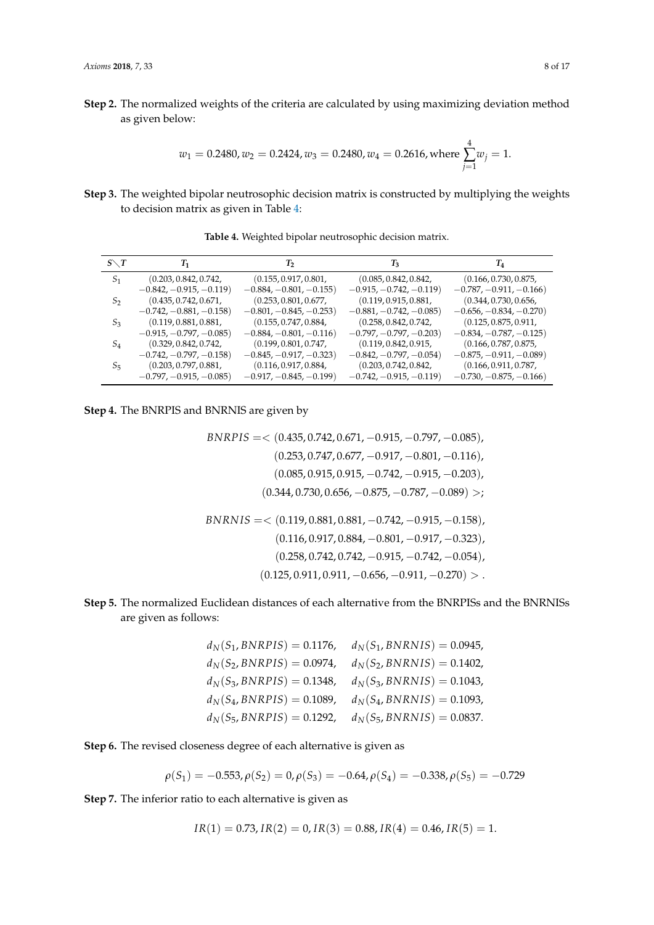**Step 2.** The normalized weights of the criteria are calculated by using maximizing deviation method as given below:

$$
w_1 = 0.2480, w_2 = 0.2424, w_3 = 0.2480, w_4 = 0.2616
$$
, where  $\sum_{j=1}^{4} w_j = 1$ .

<span id="page-7-0"></span>**Step 3.** The weighted bipolar neutrosophic decision matrix is constructed by multiplying the weights to decision matrix as given in Table [4:](#page-7-0)

| $S\diagdown T$ | $T_{1}$                   | Т,                        | $T_3$                     | $\scriptstyle T_4$        |
|----------------|---------------------------|---------------------------|---------------------------|---------------------------|
| S <sub>1</sub> | (0.203, 0.842, 0.742,     | (0.155, 0.917, 0.801,     | (0.085, 0.842, 0.842,     | (0.166, 0.730, 0.875,     |
|                | $-0.842, -0.915, -0.119$  | $-0.884, -0.801, -0.155)$ | $-0.915, -0.742, -0.119$  | $-0.787, -0.911, -0.166$  |
| $S_2$          | (0.435, 0.742, 0.671,     | (0.253, 0.801, 0.677,     | (0.119, 0.915, 0.881,     | (0.344, 0.730, 0.656,     |
|                | $-0.742, -0.881, -0.158)$ | $-0.801, -0.845, -0.253)$ | $-0.881, -0.742, -0.085$  | $-0.656, -0.834, -0.270)$ |
| $S_3$          | (0.119, 0.881, 0.881,     | (0.155, 0.747, 0.884,     | (0.258, 0.842, 0.742,     | (0.125, 0.875, 0.911,     |
|                | $-0.915, -0.797, -0.085)$ | $-0.884, -0.801, -0.116$  | $-0.797, -0.797, -0.203$  | $-0.834, -0.787, -0.125$  |
| $S_4$          | (0.329, 0.842, 0.742,     | (0.199, 0.801, 0.747,     | (0.119, 0.842, 0.915,     | (0.166, 0.787, 0.875,     |
|                | $-0.742, -0.797, -0.158$  | $-0.845, -0.917, -0.323$  | $-0.842, -0.797, -0.054)$ | $-0.875, -0.911, -0.089$  |
| $S_5$          | (0.203, 0.797, 0.881,     | (0.116, 0.917, 0.884,     | (0.203, 0.742, 0.842,     | (0.166, 0.911, 0.787,     |
|                | $-0.797, -0.915, -0.085$  | $-0.917, -0.845, -0.199$  | $-0.742, -0.915, -0.119$  | $-0.730, -0.875, -0.166$  |

**Table 4.** Weighted bipolar neutrosophic decision matrix.

**Step 4.** The BNRPIS and BNRNIS are given by

$$
BNRPIS = \langle (0.435, 0.742, 0.671, -0.915, -0.797, -0.085), (0.253, 0.747, 0.677, -0.917, -0.801, -0.116), (0.085, 0.915, 0.915, -0.742, -0.915, -0.203), (0.344, 0.730, 0.656, -0.875, -0.787, -0.089) >;
$$
\n
$$
BNRNIS = \langle (0.119, 0.881, 0.881, -0.742, -0.915, -0.158), (0.116, 0.917, 0.884, -0.801, -0.917, -0.323), (0.258, 0.742, 0.742, -0.915, -0.742, -0.054), (0.125, 0.911, 0.911, -0.656, -0.911, -0.270) >.
$$

## **Step 5.** The normalized Euclidean distances of each alternative from the BNRPISs and the BNRNISs are given as follows:

| $d_N(S_1, BNRPIS) = 0.1176,$ | $d_N(S_1, BNRNIS) = 0.0945,$ |
|------------------------------|------------------------------|
| $d_N(S_2, BNRPIS) = 0.0974,$ | $d_N(S_2, BNRNIS) = 0.1402,$ |
| $d_N(S_3, BNRPIS) = 0.1348,$ | $d_N(S_3, BNRNIS) = 0.1043,$ |
| $d_N(S_4, BNRPIS) = 0.1089,$ | $d_N(S_4, BNRNIS) = 0.1093,$ |
| $d_N(S_5, BNRPIS) = 0.1292,$ | $d_N(S_5, BNRNIS) = 0.0837.$ |

**Step 6.** The revised closeness degree of each alternative is given as

$$
\rho(S_1) = -0.553, \rho(S_2) = 0, \rho(S_3) = -0.64, \rho(S_4) = -0.338, \rho(S_5) = -0.729
$$

**Step 7.** The inferior ratio to each alternative is given as

$$
IR(1) = 0.73, IR(2) = 0, IR(3) = 0.88, IR(4) = 0.46, IR(5) = 1.
$$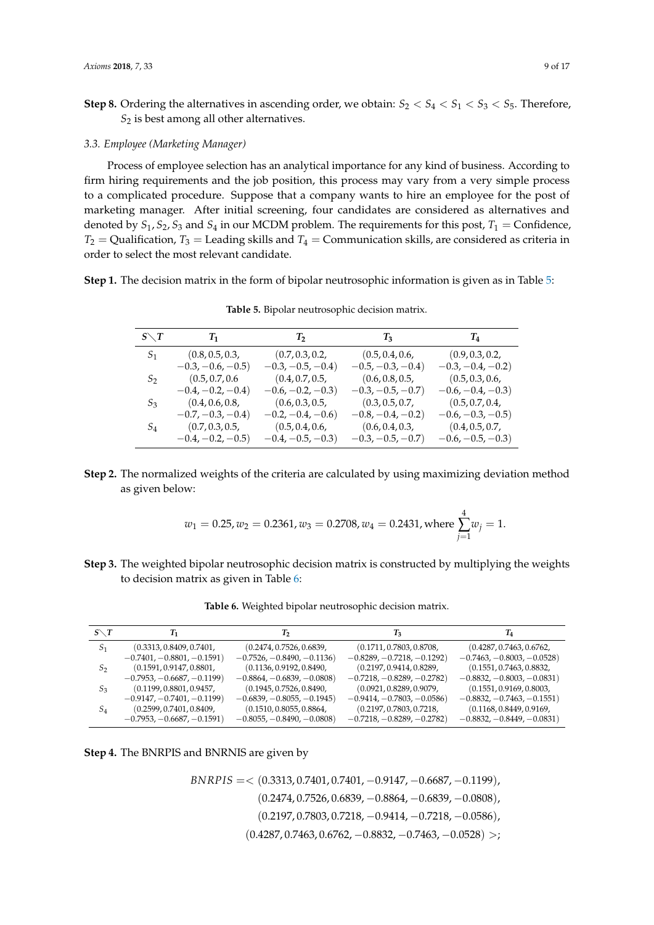**Step 8.** Ordering the alternatives in ascending order, we obtain:  $S_2 < S_4 < S_1 < S_3 < S_5$ . Therefore, *S*<sup>2</sup> is best among all other alternatives.

#### *3.3. Employee (Marketing Manager)*

Process of employee selection has an analytical importance for any kind of business. According to firm hiring requirements and the job position, this process may vary from a very simple process to a complicated procedure. Suppose that a company wants to hire an employee for the post of marketing manager. After initial screening, four candidates are considered as alternatives and denoted by  $S_1$ ,  $S_2$ ,  $S_3$  and  $S_4$  in our MCDM problem. The requirements for this post,  $T_1$  = Confidence,  $T_2$  = Qualification,  $T_3$  = Leading skills and  $T_4$  = Communication skills, are considered as criteria in order to select the most relevant candidate.

<span id="page-8-0"></span>**Step 1.** The decision matrix in the form of bipolar neutrosophic information is given as in Table [5:](#page-8-0)

| $S\diagdown T$ | $T_1$                | $T_2$               | $T_3$              | $T_4$               |
|----------------|----------------------|---------------------|--------------------|---------------------|
| S <sub>1</sub> | (0.8, 0.5, 0.3,      | (0.7, 0.3, 0.2,     | (0.5, 0.4, 0.6,    | (0.9, 0.3, 0.2,     |
|                | $-0.3, -0.6, -0.5)$  | $-0.3, -0.5, -0.4)$ | $-0.5, -0.3, -0.4$ | $-0.3, -0.4, -0.2)$ |
| $S_2$          | (0.5, 0.7, 0.6)      | (0.4, 0.7, 0.5,     | (0.6, 0.8, 0.5,    | (0.5, 0.3, 0.6,     |
|                | $-0.4, -0.2, -0.4)$  | $-0.6, -0.2, -0.3$  | $-0.3, -0.5, -0.7$ | $-0.6, -0.4, -0.3$  |
| $S_3$          | (0.4, 0.6, 0.8,      | (0.6, 0.3, 0.5,     | (0.3, 0.5, 0.7,    | (0.5, 0.7, 0.4,     |
|                | $-0.7, -0.3, -0.4$ ) | $-0.2, -0.4, -0.6$  | $-0.8, -0.4, -0.2$ | $-0.6, -0.3, -0.5$  |
| $S_4$          | (0.7, 0.3, 0.5,      | (0.5, 0.4, 0.6,     | (0.6, 0.4, 0.3,    | (0.4, 0.5, 0.7,     |
|                | $-0.4, -0.2, -0.5)$  | $-0.4, -0.5, -0.3$  | $-0.3, -0.5, -0.7$ | $-0.6, -0.5, -0.3$  |

**Table 5.** Bipolar neutrosophic decision matrix.

**Step 2.** The normalized weights of the criteria are calculated by using maximizing deviation method as given below:

$$
w_1 = 0.25, w_2 = 0.2361, w_3 = 0.2708, w_4 = 0.2431
$$
, where  $\sum_{j=1}^{4} w_j = 1$ .

**Step 3.** The weighted bipolar neutrosophic decision matrix is constructed by multiplying the weights to decision matrix as given in Table [6:](#page-8-1)

<span id="page-8-1"></span>

| $S\diagdown T$ | Т1                           | Т,                           | T <sub>3</sub>               | 14                           |
|----------------|------------------------------|------------------------------|------------------------------|------------------------------|
| S <sub>1</sub> | (0.3313, 0.8409, 0.7401,     | (0.2474, 0.7526, 0.6839,     | (0.1711, 0.7803, 0.8708,     | (0.4287, 0.7463, 0.6762,     |
|                | $-0.7401, -0.8801, -0.1591)$ | $-0.7526, -0.8490, -0.1136$  | $-0.8289, -0.7218, -0.1292)$ | $-0.7463, -0.8003, -0.0528$  |
| S <sub>2</sub> | (0.1591, 0.9147, 0.8801,     | (0.1136, 0.9192, 0.8490,     | (0.2197, 0.9414, 0.8289,     | (0.1551, 0.7463, 0.8832,     |
|                | $-0.7953, -0.6687, -0.1199$  | $-0.8864, -0.6839, -0.0808$  | $-0.7218, -0.8289, -0.2782)$ | $-0.8832, -0.8003, -0.0831)$ |
| $S_3$          | (0.1199, 0.8801, 0.9457,     | (0.1945, 0.7526, 0.8490,     | (0.0921, 0.8289, 0.9079,     | (0.1551, 0.9169, 0.8003,     |
|                | $-0.9147, -0.7401, -0.1199$  | $-0.6839, -0.8055, -0.1945)$ | $-0.9414, -0.7803, -0.0586$  | $-0.8832, -0.7463, -0.1551)$ |
| $S_4$          | (0.2599, 0.7401, 0.8409,     | (0.1510, 0.8055, 0.8864,     | (0.2197, 0.7803, 0.7218,     | (0.1168, 0.8449, 0.9169,     |
|                | $-0.7953, -0.6687, -0.1591)$ | $-0.8055, -0.8490, -0.0808$  | $-0.7218, -0.8289, -0.2782)$ | $-0.8832, -0.8449, -0.0831)$ |

**Table 6.** Weighted bipolar neutrosophic decision matrix.

| <b>Step 4.</b> The BNRPIS and BNRNIS are given by |  |  |  |  |  |  |  |  |
|---------------------------------------------------|--|--|--|--|--|--|--|--|
|---------------------------------------------------|--|--|--|--|--|--|--|--|

*BNRPIS* = < (0.3313, 0.7401, 0.7401, -0.9147, -0.6687, -0.1199), (0.2474, 0.7526, 0.6839, −0.8864, −0.6839, −0.0808),  $(0.2197, 0.7803, 0.7218, -0.9414, -0.7218, -0.0586)$  $(0.4287, 0.7463, 0.6762, -0.8832, -0.7463, -0.0528) >;$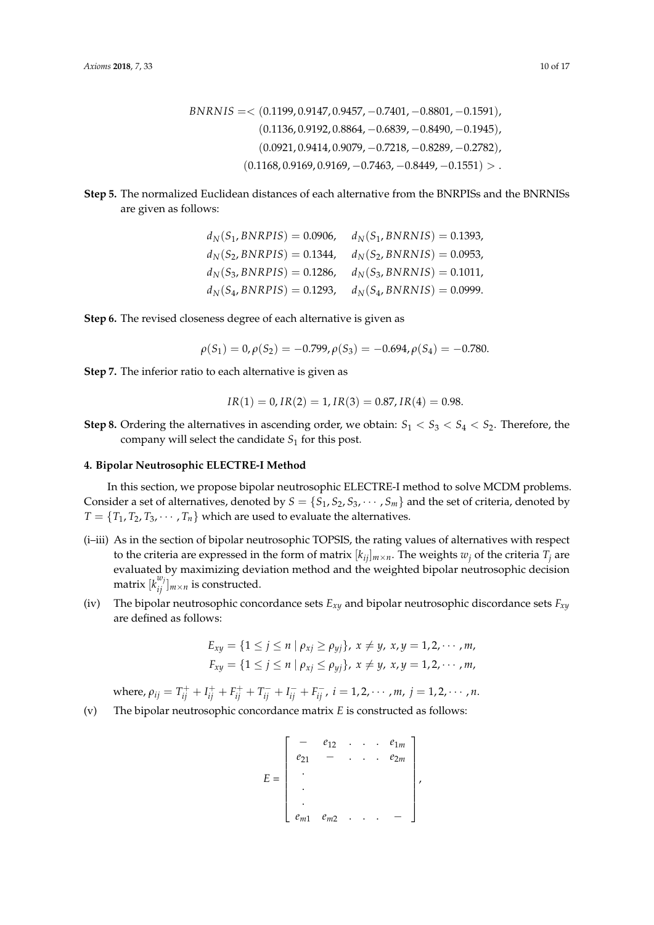$$
BNRNIS = \langle (0.1199, 0.9147, 0.9457, -0.7401, -0.8801, -0.1591),
$$
  

$$
(0.1136, 0.9192, 0.8864, -0.6839, -0.8490, -0.1945),
$$
  

$$
(0.0921, 0.9414, 0.9079, -0.7218, -0.8289, -0.2782),
$$
  

$$
(0.1168, 0.9169, 0.9169, -0.7463, -0.8449, -0.1551) > .
$$

**Step 5.** The normalized Euclidean distances of each alternative from the BNRPISs and the BNRNISs are given as follows:

| $d_N(S_1, BNRPIS) = 0.0906,$ | $d_N(S_1, BNRNIS) = 0.1393,$ |
|------------------------------|------------------------------|
| $d_N(S_2, BNRPIS) = 0.1344,$ | $d_N(S_2, BNRNIS) = 0.0953,$ |
| $d_N(S_3, BNRPIS) = 0.1286,$ | $d_N(S_3, BNRNIS) = 0.1011,$ |
| $d_N(S_4, BNRPIS) = 0.1293,$ | $d_N(S_4, BNRNIS) = 0.0999.$ |

**Step 6.** The revised closeness degree of each alternative is given as

$$
\rho(S_1) = 0, \rho(S_2) = -0.799, \rho(S_3) = -0.694, \rho(S_4) = -0.780.
$$

**Step 7.** The inferior ratio to each alternative is given as

$$
IR(1) = 0, IR(2) = 1, IR(3) = 0.87, IR(4) = 0.98.
$$

**Step 8.** Ordering the alternatives in ascending order, we obtain:  $S_1 < S_3 < S_4 < S_2$ . Therefore, the company will select the candidate  $S_1$  for this post.

#### **4. Bipolar Neutrosophic ELECTRE-I Method**

In this section, we propose bipolar neutrosophic ELECTRE-I method to solve MCDM problems. Consider a set of alternatives, denoted by  $S = \{S_1, S_2, S_3, \cdots, S_m\}$  and the set of criteria, denoted by  $T = \{T_1, T_2, T_3, \cdots, T_n\}$  which are used to evaluate the alternatives.

- (i–iii) As in the section of bipolar neutrosophic TOPSIS, the rating values of alternatives with respect to the criteria are expressed in the form of matrix  $[k_{ij}]_{m \times n}$ . The weights  $w_j$  of the criteria  $T_j$  are evaluated by maximizing deviation method and the weighted bipolar neutrosophic decision matrix  $[k_{ij}^{w_j}]_{m \times n}$  is constructed.
- (iv) The bipolar neutrosophic concordance sets *Exy* and bipolar neutrosophic discordance sets *Fxy* are defined as follows:

$$
E_{xy} = \{1 \le j \le n \mid \rho_{xj} \ge \rho_{yj}\}, x \ne y, x, y = 1, 2, \cdots, m, F_{xy} = \{1 \le j \le n \mid \rho_{xj} \le \rho_{yj}\}, x \ne y, x, y = 1, 2, \cdots, m,
$$

where,  $\rho_{ij} = T_{ij}^+ + I_{ij}^+ + F_{ij}^+ + T_{ij}^- + I_{ij}^- + F_{ij}^-$ ,  $i = 1, 2, \dots, m$ ,  $j = 1, 2, \dots, n$ .

(v) The bipolar neutrosophic concordance matrix *E* is constructed as follows:

$$
E = \begin{bmatrix} - & e_{12} & \dots & e_{1m} \\ e_{21} & - & \dots & e_{2m} \\ \vdots & & & \\ e_{m1} & e_{m2} & \dots & - \end{bmatrix},
$$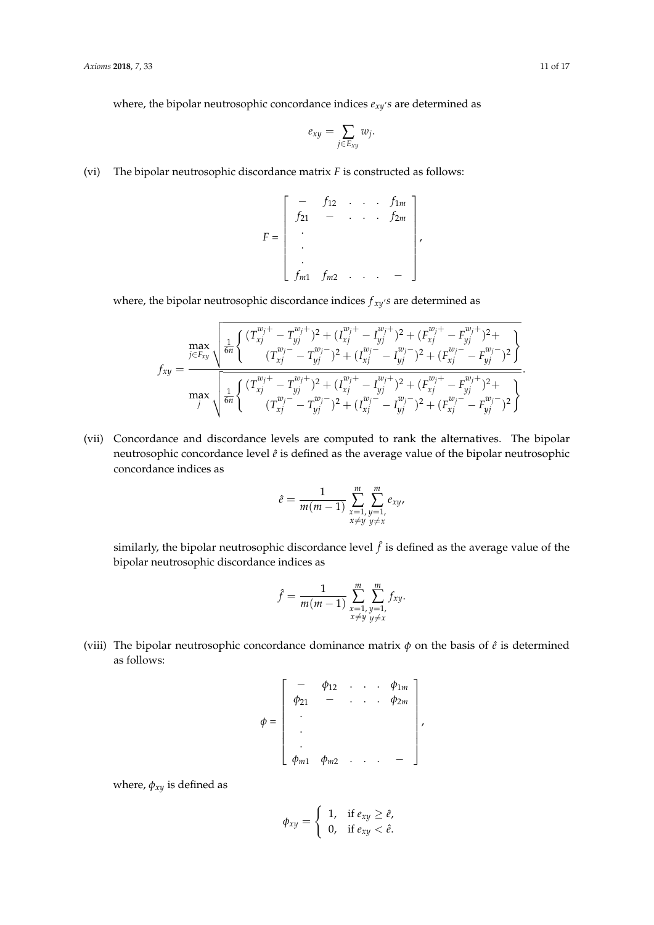where, the bipolar neutrosophic concordance indices  $e_{xy}$ 's are determined as

$$
e_{xy}=\sum_{j\in E_{xy}}w_j.
$$

(vi) The bipolar neutrosophic discordance matrix *F* is constructed as follows:

$$
F = \begin{bmatrix} - & f_{12} & \cdots & f_{1m} \\ f_{21} & - & \cdots & f_{2m} \\ \vdots & & & \\ f_{m1} & f_{m2} & \cdots & - \end{bmatrix},
$$

where, the bipolar neutrosophic discordance indices *f xy* , *s* are determined as

$$
f_{xy} = \frac{\max\limits_{j \in F_{xy}} \sqrt{\frac{1}{6n} \left\{ \frac{(T_{xj}^{w_j+} - T_{yj}^{w_j+})^2 + (T_{xj}^{w_j+} - T_{yj}^{w_j+})^2 + (F_{xj}^{w_j+} - F_{yj}^{w_j+})^2 + (T_{xj}^{w_j-} - T_{yj}^{w_j-})^2 + (T_{xj}^{w_j-} - T_{yj}^{w_j-})^2 + (F_{xj}^{w_j-} - F_{yj}^{w_j-})^2 \right\}}{\max\limits_{j} \sqrt{\frac{1}{6n} \left\{ \frac{(T_{xj}^{w_j+} - T_{yj}^{w_j+})^2 + (T_{xj}^{w_j+} - T_{yj}^{w_j+})^2 + (F_{xj}^{w_j+} - F_{yj}^{w_j+})^2 + (F_{xj}^{w_j-} - F_{yj}^{w_j-})^2 + (T_{xj}^{w_j-} - T_{yj}^{w_j-})^2 + (F_{xj}^{w_j-} - F_{yj}^{w_j-})^2 \right\}}}.
$$

(vii) Concordance and discordance levels are computed to rank the alternatives. The bipolar neutrosophic concordance level  $\hat{e}$  is defined as the average value of the bipolar neutrosophic concordance indices as

$$
\hat{e} = \frac{1}{m(m-1)} \sum_{\substack{x=1, \\ x \neq y}}^{m} \sum_{\substack{y=1, \\ y \neq x}}^{m} e_{xy},
$$

similarly, the bipolar neutrosophic discordance level  $\hat{f}$  is defined as the average value of the bipolar neutrosophic discordance indices as

$$
\hat{f} = \frac{1}{m(m-1)} \sum_{\substack{x=1, y=1, \\ x \neq y}}^{m} \sum_{\substack{y=1, \\ y \neq x}}^{m} f_{xy}.
$$

(viii) The bipolar neutrosophic concordance dominance matrix  $\phi$  on the basis of  $\hat{e}$  is determined as follows:

$$
\phi = \begin{bmatrix} - & \phi_{12} & \cdots & \phi_{1m} \\ \phi_{21} & - & \cdots & \phi_{2m} \\ \vdots & & & \\ \phi_{m1} & \phi_{m2} & \cdots & - \end{bmatrix},
$$

where,  $\phi_{xy}$  is defined as

$$
\phi_{xy} = \begin{cases} 1, & \text{if } e_{xy} \geq \hat{e}, \\ 0, & \text{if } e_{xy} < \hat{e}. \end{cases}
$$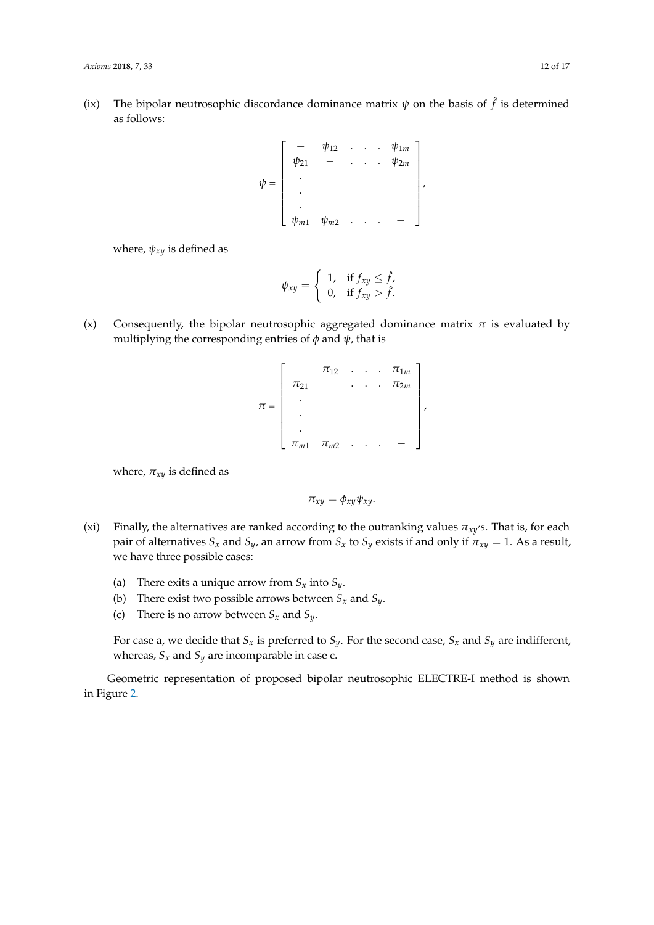(ix) The bipolar neutrosophic discordance dominance matrix  $\psi$  on the basis of  $\hat{f}$  is determined as follows:

$$
\psi = \begin{bmatrix} - & \psi_{12} & \cdots & \psi_{1m} \\ \psi_{21} & - & \cdots & \psi_{2m} \\ \vdots & & & \\ \psi_{m1} & \psi_{m2} & \cdots & - \end{bmatrix},
$$

where,  $\psi_{xy}$  is defined as

$$
\psi_{xy} = \begin{cases} 1, & \text{if } f_{xy} \leq \hat{f}, \\ 0, & \text{if } f_{xy} > \hat{f}. \end{cases}
$$

- (x) Consequently, the bipolar neutrosophic aggregated dominance matrix  $\pi$  is evaluated by multiplying the corresponding entries of *φ* and *ψ*, that is
	- *π* =  $\lceil$  $\begin{array}{c} \hline \end{array}$  $\pi_{12}$  . . .  $\pi_{1m}$  $\pi_{21}$  – . . .  $\pi_{2m}$ . . .  $\pi_{m1}$   $\pi_{m2}$  . . . – 1 ,

where,  $\pi_{xy}$  is defined as

$$
\pi_{xy}=\phi_{xy}\psi_{xy}.
$$

- (xi) Finally, the alternatives are ranked according to the outranking values  $\pi_{xy}$ 's. That is, for each pair of alternatives  $S_x$  and  $S_y$ , an arrow from  $S_x$  to  $S_y$  exists if and only if  $\pi_{xy} = 1$ . As a result, we have three possible cases:
	- (a) There exits a unique arrow from  $S_x$  into  $S_y$ .
	- (b) There exist two possible arrows between  $S_x$  and  $S_y$ .
	- (c) There is no arrow between  $S_x$  and  $S_y$ .

For case a, we decide that  $S_x$  is preferred to  $S_y$ . For the second case,  $S_x$  and  $S_y$  are indifferent, whereas,  $S_x$  and  $S_y$  are incomparable in case c.

Geometric representation of proposed bipolar neutrosophic ELECTRE-I method is shown in Figure [2.](#page-12-0)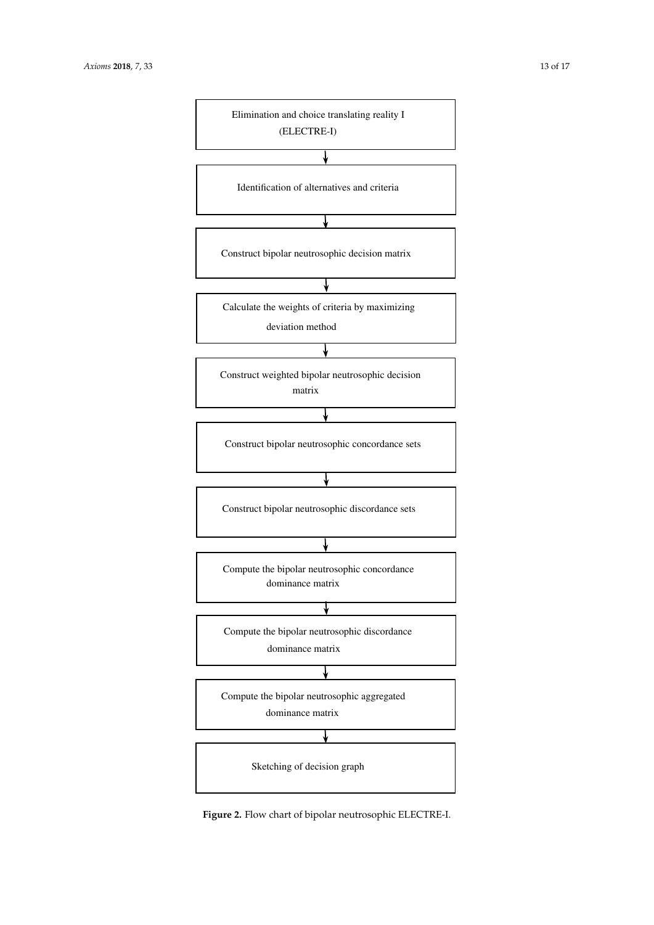<span id="page-12-0"></span>

Figure 2.3: Flow chart of bipolar neutrosophic ELECTRE-I method **Figure 2.** Flow chart of bipolar neutrosophic ELECTRE-I.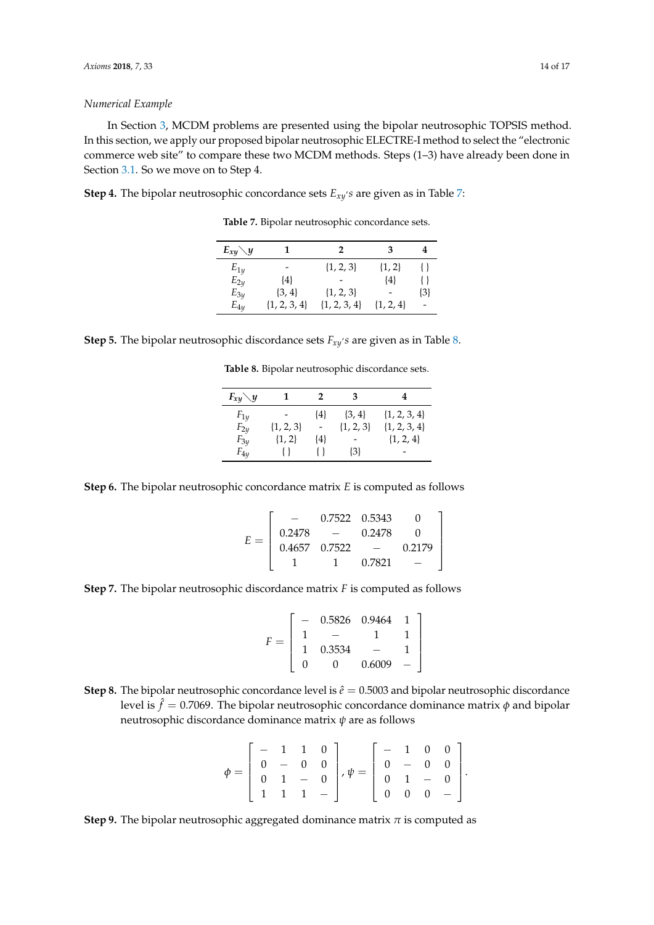#### *Numerical Example*

In Section [3,](#page-4-1) MCDM problems are presented using the bipolar neutrosophic TOPSIS method. In this section, we apply our proposed bipolar neutrosophic ELECTRE-I method to select the "electronic commerce web site" to compare these two MCDM methods. Steps (1–3) have already been done in Section [3.1.](#page-5-2) So we move on to Step 4.

<span id="page-13-0"></span>**Step 4.** The bipolar neutrosophic concordance sets *Exy* , *s* are given as in Table [7:](#page-13-0)

**Table 7.** Bipolar neutrosophic concordance sets.

| $E_{xy}\diagdown y$ |                  | 2                |               |     |
|---------------------|------------------|------------------|---------------|-----|
| $E_{1y}$            |                  | $\{1, 2, 3\}$    | $\{1, 2\}$    |     |
| $E_{2y}$            | $\{4\}$          |                  | $\{4\}$       |     |
| $E_{3y}$            | $\{3, 4\}$       | $\{1, 2, 3\}$    |               | {3} |
| $E_{4v}$            | $\{1, 2, 3, 4\}$ | $\{1, 2, 3, 4\}$ | $\{1, 2, 4\}$ |     |

<span id="page-13-1"></span>

|  |  |  | <b>Step 5.</b> The bipolar neutrosophic discordance sets $F_{xy}$ 's are given as in Table 8. |  |  |  |  |
|--|--|--|-----------------------------------------------------------------------------------------------|--|--|--|--|
|--|--|--|-----------------------------------------------------------------------------------------------|--|--|--|--|

**Table 8.** Bipolar neutrosophic discordance sets.

| $F_{xy}\diagdown y$ |               | 2       | з             |                  |
|---------------------|---------------|---------|---------------|------------------|
| $F_{1y}$            |               | $\{4\}$ | $\{3, 4\}$    | $\{1, 2, 3, 4\}$ |
| $F_{2y}$            | $\{1, 2, 3\}$ |         | $\{1, 2, 3\}$ | $\{1, 2, 3, 4\}$ |
| $F_{3y}$            | $\{1, 2\}$    | {4}     |               | $\{1, 2, 4\}$    |
| $F_{4y}$            |               |         | $\{3\}$       |                  |

**Step 6.** The bipolar neutrosophic concordance matrix *E* is computed as follows

$$
E = \left[ \begin{array}{rrrr} - & 0.7522 & 0.5343 & 0 \\ 0.2478 & - & 0.2478 & 0 \\ 0.4657 & 0.7522 & - & 0.2179 \\ 1 & 1 & 0.7821 & - \end{array} \right]
$$

**Step 7.** The bipolar neutrosophic discordance matrix *F* is computed as follows

$$
F = \left[ \begin{array}{rrrr} - & 0.5826 & 0.9464 & 1 \\ 1 & - & 1 & 1 \\ 1 & 0.3534 & - & 1 \\ 0 & 0 & 0.6009 & - \end{array} \right]
$$

**Step 8.** The bipolar neutrosophic concordance level is  $\hat{e}$  = 0.5003 and bipolar neutrosophic discordance level is  $\hat{f}=$  0.7069. The bipolar neutrosophic concordance dominance matrix  $\phi$  and bipolar neutrosophic discordance dominance matrix *ψ* are as follows

$$
\phi = \left[\begin{array}{rrrr} - & 1 & 1 & 0 \\ 0 & - & 0 & 0 \\ 0 & 1 & - & 0 \\ 1 & 1 & 1 & - \end{array}\right], \psi = \left[\begin{array}{rrrr} - & 1 & 0 & 0 \\ 0 & - & 0 & 0 \\ 0 & 1 & - & 0 \\ 0 & 0 & 0 & - \end{array}\right].
$$

**Step 9.** The bipolar neutrosophic aggregated dominance matrix *π* is computed as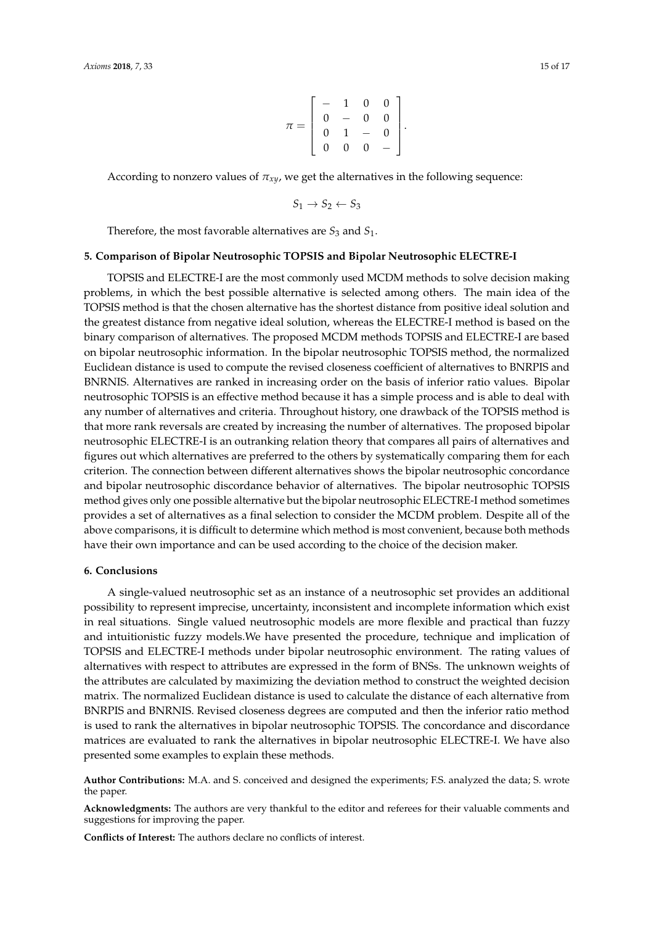$$
\pi = \left[ \begin{array}{rrrr} - & 1 & 0 & 0 \\ 0 & - & 0 & 0 \\ 0 & 1 & - & 0 \\ 0 & 0 & 0 & - \end{array} \right].
$$

According to nonzero values of *πxy*, we get the alternatives in the following sequence:

$$
S_1 \rightarrow S_2 \leftarrow S_3
$$

Therefore, the most favorable alternatives are  $S_3$  and  $S_1$ .

#### **5. Comparison of Bipolar Neutrosophic TOPSIS and Bipolar Neutrosophic ELECTRE-I**

TOPSIS and ELECTRE-I are the most commonly used MCDM methods to solve decision making problems, in which the best possible alternative is selected among others. The main idea of the TOPSIS method is that the chosen alternative has the shortest distance from positive ideal solution and the greatest distance from negative ideal solution, whereas the ELECTRE-I method is based on the binary comparison of alternatives. The proposed MCDM methods TOPSIS and ELECTRE-I are based on bipolar neutrosophic information. In the bipolar neutrosophic TOPSIS method, the normalized Euclidean distance is used to compute the revised closeness coefficient of alternatives to BNRPIS and BNRNIS. Alternatives are ranked in increasing order on the basis of inferior ratio values. Bipolar neutrosophic TOPSIS is an effective method because it has a simple process and is able to deal with any number of alternatives and criteria. Throughout history, one drawback of the TOPSIS method is that more rank reversals are created by increasing the number of alternatives. The proposed bipolar neutrosophic ELECTRE-I is an outranking relation theory that compares all pairs of alternatives and figures out which alternatives are preferred to the others by systematically comparing them for each criterion. The connection between different alternatives shows the bipolar neutrosophic concordance and bipolar neutrosophic discordance behavior of alternatives. The bipolar neutrosophic TOPSIS method gives only one possible alternative but the bipolar neutrosophic ELECTRE-I method sometimes provides a set of alternatives as a final selection to consider the MCDM problem. Despite all of the above comparisons, it is difficult to determine which method is most convenient, because both methods have their own importance and can be used according to the choice of the decision maker.

#### **6. Conclusions**

A single-valued neutrosophic set as an instance of a neutrosophic set provides an additional possibility to represent imprecise, uncertainty, inconsistent and incomplete information which exist in real situations. Single valued neutrosophic models are more flexible and practical than fuzzy and intuitionistic fuzzy models.We have presented the procedure, technique and implication of TOPSIS and ELECTRE-I methods under bipolar neutrosophic environment. The rating values of alternatives with respect to attributes are expressed in the form of BNSs. The unknown weights of the attributes are calculated by maximizing the deviation method to construct the weighted decision matrix. The normalized Euclidean distance is used to calculate the distance of each alternative from BNRPIS and BNRNIS. Revised closeness degrees are computed and then the inferior ratio method is used to rank the alternatives in bipolar neutrosophic TOPSIS. The concordance and discordance matrices are evaluated to rank the alternatives in bipolar neutrosophic ELECTRE-I. We have also presented some examples to explain these methods.

**Author Contributions:** M.A. and S. conceived and designed the experiments; F.S. analyzed the data; S. wrote the paper.

**Acknowledgments:** The authors are very thankful to the editor and referees for their valuable comments and suggestions for improving the paper.

**Conflicts of Interest:** The authors declare no conflicts of interest.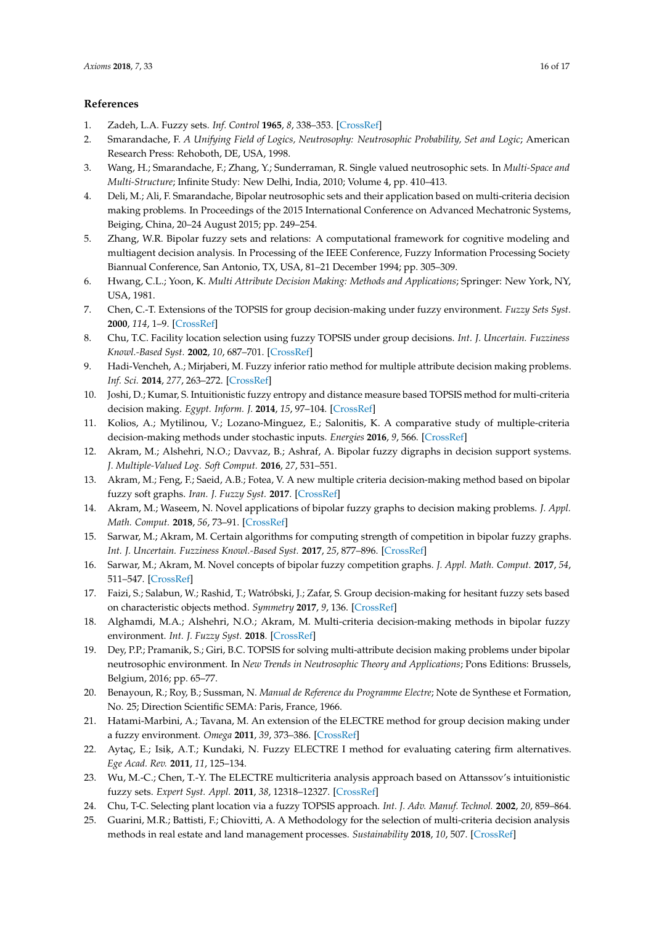## **References**

- <span id="page-15-0"></span>1. Zadeh, L.A. Fuzzy sets. *Inf. Control* **1965**, *8*, 338–353. [\[CrossRef\]](http://dx.doi.org/10.1016/S0019-9958(65)90241-X)
- <span id="page-15-1"></span>2. Smarandache, F. *A Unifying Field of Logics, Neutrosophy: Neutrosophic Probability, Set and Logic*; American Research Press: Rehoboth, DE, USA, 1998.
- <span id="page-15-2"></span>3. Wang, H.; Smarandache, F.; Zhang, Y.; Sunderraman, R. Single valued neutrosophic sets. In *Multi-Space and Multi-Structure*; Infinite Study: New Delhi, India, 2010; Volume 4, pp. 410–413.
- <span id="page-15-3"></span>4. Deli, M.; Ali, F. Smarandache, Bipolar neutrosophic sets and their application based on multi-criteria decision making problems. In Proceedings of the 2015 International Conference on Advanced Mechatronic Systems, Beiging, China, 20–24 August 2015; pp. 249–254.
- <span id="page-15-4"></span>5. Zhang, W.R. Bipolar fuzzy sets and relations: A computational framework for cognitive modeling and multiagent decision analysis. In Processing of the IEEE Conference, Fuzzy Information Processing Society Biannual Conference, San Antonio, TX, USA, 81–21 December 1994; pp. 305–309.
- <span id="page-15-5"></span>6. Hwang, C.L.; Yoon, K. *Multi Attribute Decision Making: Methods and Applications*; Springer: New York, NY, USA, 1981.
- <span id="page-15-6"></span>7. Chen, C.-T. Extensions of the TOPSIS for group decision-making under fuzzy environment. *Fuzzy Sets Syst.* **2000**, *114*, 1–9. [\[CrossRef\]](http://dx.doi.org/10.1016/S0165-0114(97)00377-1)
- <span id="page-15-7"></span>8. Chu, T.C. Facility location selection using fuzzy TOPSIS under group decisions. *Int. J. Uncertain. Fuzziness Knowl.-Based Syst.* **2002**, *10*, 687–701. [\[CrossRef\]](http://dx.doi.org/10.1142/S0218488502001739)
- <span id="page-15-8"></span>9. Hadi-Vencheh, A.; Mirjaberi, M. Fuzzy inferior ratio method for multiple attribute decision making problems. *Inf. Sci.* **2014**, *277*, 263–272. [\[CrossRef\]](http://dx.doi.org/10.1016/j.ins.2014.02.019)
- <span id="page-15-9"></span>10. Joshi, D.; Kumar, S. Intuitionistic fuzzy entropy and distance measure based TOPSIS method for multi-criteria decision making. *Egypt. Inform. J.* **2014**, *15*, 97–104. [\[CrossRef\]](http://dx.doi.org/10.1016/j.eij.2014.03.002)
- <span id="page-15-10"></span>11. Kolios, A.; Mytilinou, V.; Lozano-Minguez, E.; Salonitis, K. A comparative study of multiple-criteria decision-making methods under stochastic inputs. *Energies* **2016**, *9*, 566. [\[CrossRef\]](http://dx.doi.org/10.3390/en9070566)
- <span id="page-15-11"></span>12. Akram, M.; Alshehri, N.O.; Davvaz, B.; Ashraf, A. Bipolar fuzzy digraphs in decision support systems. *J. Multiple-Valued Log. Soft Comput.* **2016**, *27*, 531–551.
- 13. Akram, M.; Feng, F.; Saeid, A.B.; Fotea, V. A new multiple criteria decision-making method based on bipolar fuzzy soft graphs. *Iran. J. Fuzzy Syst.* **2017**. [\[CrossRef\]](http://dx.doi.org/10.22111/IJFS.2017.3394)
- <span id="page-15-12"></span>14. Akram, M.; Waseem, N. Novel applications of bipolar fuzzy graphs to decision making problems. *J. Appl. Math. Comput.* **2018**, *56*, 73–91. [\[CrossRef\]](http://dx.doi.org/10.1007/s12190-016-1062-3)
- <span id="page-15-13"></span>15. Sarwar, M.; Akram, M. Certain algorithms for computing strength of competition in bipolar fuzzy graphs. *Int. J. Uncertain. Fuzziness Knowl.-Based Syst.* **2017**, *25*, 877–896. [\[CrossRef\]](http://dx.doi.org/10.1142/S0218488517500374)
- <span id="page-15-14"></span>16. Sarwar, M.; Akram, M. Novel concepts of bipolar fuzzy competition graphs. *J. Appl. Math. Comput.* **2017**, *54*, 511–547. [\[CrossRef\]](http://dx.doi.org/10.1007/s12190-016-1021-z)
- <span id="page-15-15"></span>17. Faizi, S.; Salabun, W.; Rashid, T.; Watróbski, J.; Zafar, S. Group decision-making for hesitant fuzzy sets based on characteristic objects method. *Symmetry* **2017**, *9*, 136. [\[CrossRef\]](http://dx.doi.org/10.3390/sym9080136)
- <span id="page-15-16"></span>18. Alghamdi, M.A.; Alshehri, N.O.; Akram, M. Multi-criteria decision-making methods in bipolar fuzzy environment. *Int. J. Fuzzy Syst.* **2018**. [\[CrossRef\]](http://dx.doi.org/10.1007/s40815-018-0499-y)
- <span id="page-15-17"></span>19. Dey, P.P.; Pramanik, S.; Giri, B.C. TOPSIS for solving multi-attribute decision making problems under bipolar neutrosophic environment. In *New Trends in Neutrosophic Theory and Applications*; Pons Editions: Brussels, Belgium, 2016; pp. 65–77.
- <span id="page-15-18"></span>20. Benayoun, R.; Roy, B.; Sussman, N. *Manual de Reference du Programme Electre*; Note de Synthese et Formation, No. 25; Direction Scientific SEMA: Paris, France, 1966.
- <span id="page-15-19"></span>21. Hatami-Marbini, A.; Tavana, M. An extension of the ELECTRE method for group decision making under a fuzzy environment. *Omega* **2011**, *39*, 373–386. [\[CrossRef\]](http://dx.doi.org/10.1016/j.omega.2010.09.001)
- <span id="page-15-20"></span>22. Aytaç, E.; Isiķ, A.T.; Kundaki, N. Fuzzy ELECTRE I method for evaluating catering firm alternatives. *Ege Acad. Rev.* **2011**, *11*, 125–134.
- <span id="page-15-21"></span>23. Wu, M.-C.; Chen, T.-Y. The ELECTRE multicriteria analysis approach based on Attanssov's intuitionistic fuzzy sets. *Expert Syst. Appl.* **2011**, *38*, 12318–12327. [\[CrossRef\]](http://dx.doi.org/10.1016/j.eswa.2011.04.010)
- <span id="page-15-22"></span>24. Chu, T-C. Selecting plant location via a fuzzy TOPSIS approach. *Int. J. Adv. Manuf. Technol.* **2002**, *20*, 859–864.
- 25. Guarini, M.R.; Battisti, F.; Chiovitti, A. A Methodology for the selection of multi-criteria decision analysis methods in real estate and land management processes. *Sustainability* **2018**, *10*, 507. [\[CrossRef\]](http://dx.doi.org/10.3390/su10020507)